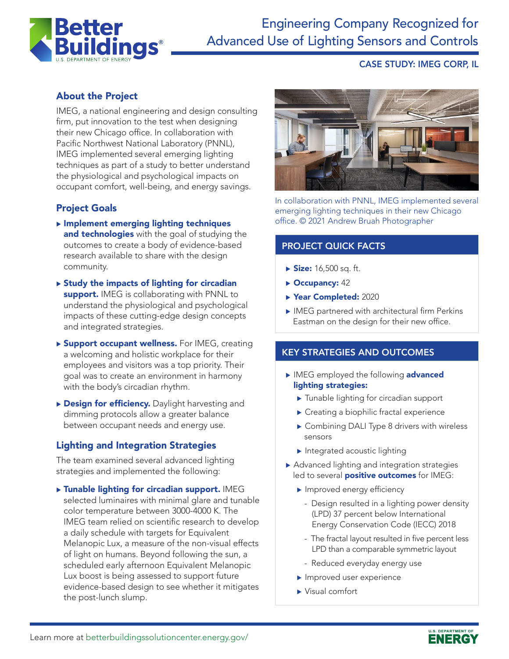

# Engineering Company Recognized for Advanced Use of Lighting Sensors and Controls

#### CASE STUDY: IMEG CORP, IL

## About the Project

IMEG, a national engineering and design consulting firm, put innovation to the test when designing their new Chicago office. In collaboration with Pacific Northwest National Laboratory (PNNL), IMEG implemented several emerging lighting techniques as part of a study to better understand the physiological and psychological impacts on occupant comfort, well-being, and energy savings.

### Project Goals

- $\blacktriangleright$  Implement emerging lighting techniques and technologies with the goal of studying the outcomes to create a body of evidence-based research available to share with the design community.
- $\triangleright$  Study the impacts of lighting for circadian support. IMEG is collaborating with PNNL to understand the physiological and psychological impacts of these cutting-edge design concepts and integrated strategies.
- ▶ Support occupant wellness. For IMEG, creating a welcoming and holistic workplace for their employees and visitors was a top priority. Their goal was to create an environment in harmony with the body's circadian rhythm.
- **Design for efficiency.** Daylight harvesting and dimming protocols allow a greater balance between occupant needs and energy use.

#### Lighting and Integration Strategies

The team examined several advanced lighting strategies and implemented the following:

 $\triangleright$  Tunable lighting for circadian support. IMEG selected luminaires with minimal glare and tunable color temperature between 3000-4000 K. The IMEG team relied on scientific research to develop a daily schedule with targets for Equivalent Melanopic Lux, a measure of the non-visual effects of light on humans. Beyond following the sun, a scheduled early afternoon Equivalent Melanopic Lux boost is being assessed to support future evidence-based design to see whether it mitigates the post-lunch slump.



In collaboration with PNNL, IMEG implemented several emerging lighting techniques in their new Chicago office. © 2021 Andrew Bruah Photographer

#### PROJECT QUICK FACTS

- $\triangleright$  Size: 16,500 sq. ft.
- $\triangleright$  Occupancy: 42
- ▶ Year Completed: 2020
- $\blacktriangleright$  IMEG partnered with architectural firm Perkins Eastman on the design for their new office.

#### KEY STRATEGIES AND OUTCOMES

- IMEG employed the following advanced lighting strategies:
	- $\blacktriangleright$  Tunable lighting for circadian support
	- $\blacktriangleright$  Creating a biophilic fractal experience
	- ▶ Combining DALI Type 8 drivers with wireless sensors
	- $\blacktriangleright$  Integrated acoustic lighting
- $\blacktriangleright$  Advanced lighting and integration strategies led to several **positive outcomes** for IMEG:
	- $\blacktriangleright$  Improved energy efficiency
		- Design resulted in a lighting power density (LPD) 37 percent below International Energy Conservation Code (IECC) 2018
		- The fractal layout resulted in five percent less LPD than a comparable symmetric layout
		- Reduced everyday energy use
	- $\blacktriangleright$  Improved user experience
	- $\blacktriangleright$  Visual comfort

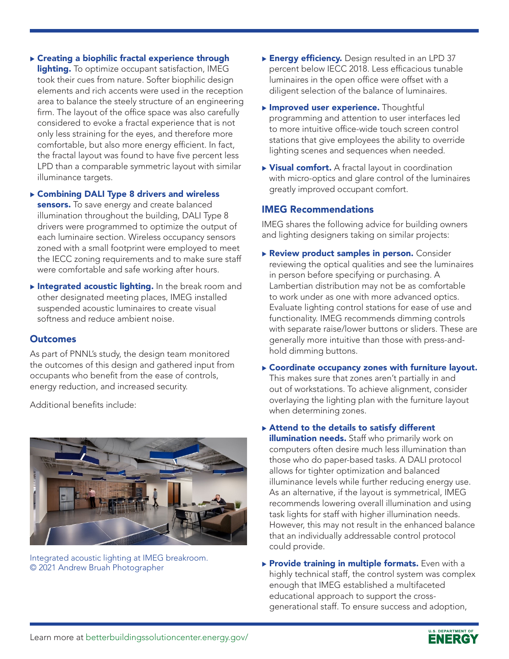## $\triangleright$  Creating a biophilic fractal experience through

lighting. To optimize occupant satisfaction, IMEG took their cues from nature. Softer biophilic design elements and rich accents were used in the reception area to balance the steely structure of an engineering firm. The layout of the office space was also carefully considered to evoke a fractal experience that is not only less straining for the eyes, and therefore more comfortable, but also more energy efficient. In fact, the fractal layout was found to have five percent less LPD than a comparable symmetric layout with similar illuminance targets.

#### ▶ Combining DALI Type 8 drivers and wireless

sensors. To save energy and create balanced illumination throughout the building, DALI Type 8 drivers were programmed to optimize the output of each luminaire section. Wireless occupancy sensors zoned with a small footprint were employed to meet the IECC zoning requirements and to make sure staff were comfortable and safe working after hours.

Integrated acoustic lighting. In the break room and other designated meeting places, IMEG installed suspended acoustic luminaires to create visual softness and reduce ambient noise.

### **Outcomes**

As part of PNNL's study, the design team monitored the outcomes of this design and gathered input from occupants who benefit from the ease of controls, energy reduction, and increased security.

Additional benefits include:



Integrated acoustic lighting at IMEG breakroom. © 2021 Andrew Bruah Photographer

- **Energy efficiency.** Design resulted in an LPD 37 percent below IECC 2018. Less efficacious tunable luminaires in the open office were offset with a diligent selection of the balance of luminaires.
- **Improved user experience.** Thoughtful programming and attention to user interfaces led to more intuitive office-wide touch screen control stations that give employees the ability to override lighting scenes and sequences when needed.
- $\triangleright$  Visual comfort. A fractal layout in coordination with micro-optics and glare control of the luminaires greatly improved occupant comfort.

## IMEG Recommendations

IMEG shares the following advice for building owners and lighting designers taking on similar projects:

- Review product samples in person. Consider reviewing the optical qualities and see the luminaires in person before specifying or purchasing. A Lambertian distribution may not be as comfortable to work under as one with more advanced optics. Evaluate lighting control stations for ease of use and functionality. IMEG recommends dimming controls with separate raise/lower buttons or sliders. These are generally more intuitive than those with press-andhold dimming buttons.
- $\triangleright$  Coordinate occupancy zones with furniture layout. This makes sure that zones aren't partially in and out of workstations. To achieve alignment, consider overlaying the lighting plan with the furniture layout when determining zones.
- $\triangleright$  Attend to the details to satisfy different illumination needs. Staff who primarily work on computers often desire much less illumination than those who do paper-based tasks. A DALI protocol allows for tighter optimization and balanced illuminance levels while further reducing energy use. As an alternative, if the layout is symmetrical, IMEG recommends lowering overall illumination and using task lights for staff with higher illumination needs. However, this may not result in the enhanced balance that an individually addressable control protocol could provide.
- $\triangleright$  Provide training in multiple formats. Even with a highly technical staff, the control system was complex enough that IMEG established a multifaceted educational approach to support the crossgenerational staff. To ensure success and adoption,